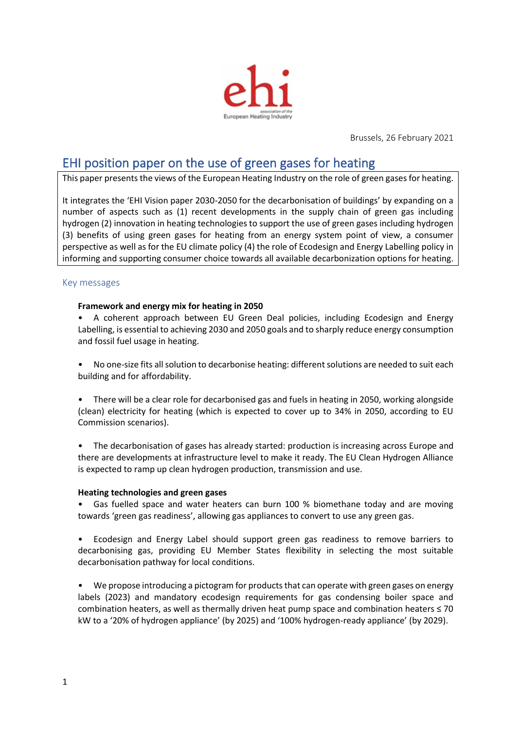

Brussels, 26 February 2021

# EHI position paper on the use of green gases for heating

This paper presents the views of the European Heating Industry on the role of green gases for heating.

It integrates the 'EHI Vision paper 2030-2050 for the decarbonisation of buildings' by expanding on a number of aspects such as (1) recent developments in the supply chain of green gas including hydrogen (2) innovation in heating technologies to support the use of green gases including hydrogen (3) benefits of using green gases for heating from an energy system point of view, a consumer perspective as well as for the EU climate policy (4) the role of Ecodesign and Energy Labelling policy in informing and supporting consumer choice towards all available decarbonization options for heating.

## Key messages

#### **Framework and energy mix for heating in 2050**

• A coherent approach between EU Green Deal policies, including Ecodesign and Energy Labelling, is essential to achieving 2030 and 2050 goals and to sharply reduce energy consumption and fossil fuel usage in heating.

- No one-size fits all solution to decarbonise heating: different solutions are needed to suit each building and for affordability.
- There will be a clear role for decarbonised gas and fuels in heating in 2050, working alongside (clean) electricity for heating (which is expected to cover up to 34% in 2050, according to EU Commission scenarios).
- The decarbonisation of gases has already started: production is increasing across Europe and there are developments at infrastructure level to make it ready. The EU Clean Hydrogen Alliance is expected to ramp up clean hydrogen production, transmission and use.

#### **Heating technologies and green gases**

• Gas fuelled space and water heaters can burn 100 % biomethane today and are moving towards 'green gas readiness', allowing gas appliances to convert to use any green gas.

• Ecodesign and Energy Label should support green gas readiness to remove barriers to decarbonising gas, providing EU Member States flexibility in selecting the most suitable decarbonisation pathway for local conditions.

• We propose introducing a pictogram for products that can operate with green gases on energy labels (2023) and mandatory ecodesign requirements for gas condensing boiler space and combination heaters, as well as thermally driven heat pump space and combination heaters ≤ 70 kW to a '20% of hydrogen appliance' (by 2025) and '100% hydrogen-ready appliance' (by 2029).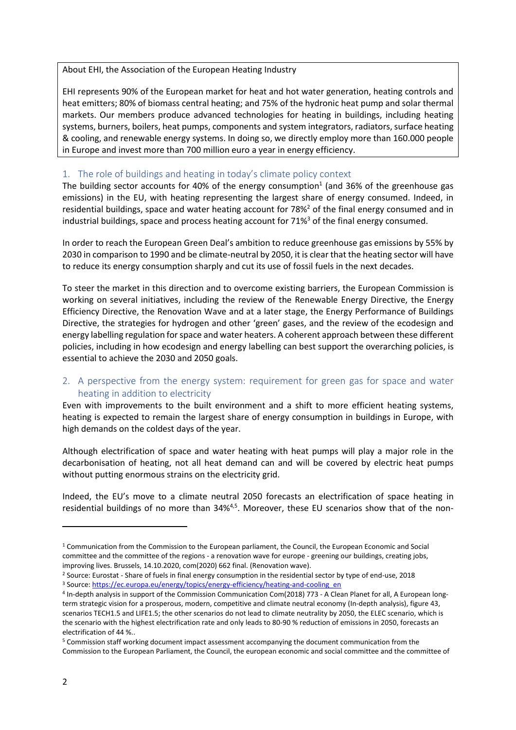About EHI, the Association of the European Heating Industry

EHI represents 90% of the European market for heat and hot water generation, heating controls and heat emitters; 80% of biomass central heating; and 75% of the hydronic heat pump and solar thermal markets. Our members produce advanced technologies for heating in buildings, including heating systems, burners, boilers, heat pumps, components and system integrators, radiators, surface heating & cooling, and renewable energy systems. In doing so, we directly employ more than 160.000 people in Europe and invest more than 700 million euro a year in energy efficiency.

## 1. The role of buildings and heating in today's climate policy context

The building sector accounts for 40% of the energy consumption<sup>1</sup> (and 36% of the greenhouse gas emissions) in the EU, with heating representing the largest share of energy consumed. Indeed, in residential buildings, space and water heating account for 78%<sup>2</sup> of the final energy consumed and in industrial buildings, space and process heating account for  $71\%$ <sup>3</sup> of the final energy consumed.

In order to reach the European Green Deal's ambition to reduce greenhouse gas emissions by 55% by 2030 in comparison to 1990 and be climate-neutral by 2050, it is clear that the heating sector will have to reduce its energy consumption sharply and cut its use of fossil fuels in the next decades.

To steer the market in this direction and to overcome existing barriers, the European Commission is working on several initiatives, including the review of the Renewable Energy Directive, the Energy Efficiency Directive, the Renovation Wave and at a later stage, the Energy Performance of Buildings Directive, the strategies for hydrogen and other 'green' gases, and the review of the ecodesign and energy labelling regulation for space and water heaters. A coherent approach between these different policies, including in how ecodesign and energy labelling can best support the overarching policies, is essential to achieve the 2030 and 2050 goals.

# 2. A perspective from the energy system: requirement for green gas for space and water heating in addition to electricity

Even with improvements to the built environment and a shift to more efficient heating systems, heating is expected to remain the largest share of energy consumption in buildings in Europe, with high demands on the coldest days of the year.

Although electrification of space and water heating with heat pumps will play a major role in the decarbonisation of heating, not all heat demand can and will be covered by electric heat pumps without putting enormous strains on the electricity grid.

Indeed, the EU's move to a climate neutral 2050 forecasts an electrification of space heating in residential buildings of no more than 34%<sup>4,5</sup>. Moreover, these EU scenarios show that of the non-

<sup>1</sup> Communication from the Commission to the European parliament, the Council, the European Economic and Social committee and the committee of the regions - a renovation wave for europe - greening our buildings, creating jobs, improving lives. Brussels, 14.10.2020, com(2020) 662 final. (Renovation wave).

<sup>&</sup>lt;sup>2</sup> Source: Eurostat - Share of fuels in final energy consumption in the residential sector by type of end-use, 2018 <sup>3</sup> Source[: https://ec.europa.eu/energy/topics/energy-efficiency/heating-and-cooling\\_en](https://ec.europa.eu/energy/topics/energy-efficiency/heating-and-cooling_en)

<sup>4</sup> In-depth analysis in support of the Commission Communication Com(2018) 773 - A Clean Planet for all, A European longterm strategic vision for a prosperous, modern, competitive and climate neutral economy (In-depth analysis), figure 43, scenarios TECH1.5 and LIFE1.5; the other scenarios do not lead to climate neutrality by 2050, the ELEC scenario, which is the scenario with the highest electrification rate and only leads to 80-90 % reduction of emissions in 2050, forecasts an electrification of 44 %..

<sup>5</sup> Commission staff working document impact assessment accompanying the document communication from the Commission to the European Parliament, the Council, the european economic and social committee and the committee of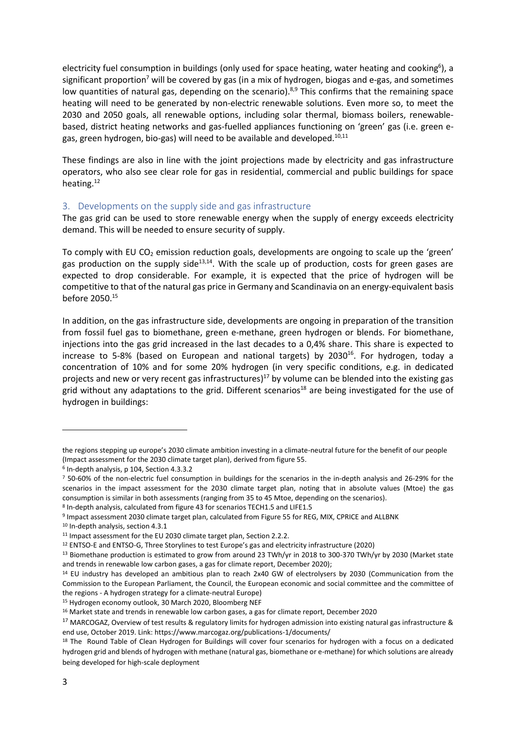electricity fuel consumption in buildings (only used for space heating, water heating and cooking<sup>6</sup>), a significant proportion<sup>7</sup> will be covered by gas (in a mix of hydrogen, biogas and e-gas, and sometimes low quantities of natural gas, depending on the scenario).<sup>8,9</sup> This confirms that the remaining space heating will need to be generated by non-electric renewable solutions. Even more so, to meet the 2030 and 2050 goals, all renewable options, including solar thermal, biomass boilers, renewablebased, district heating networks and gas-fuelled appliances functioning on 'green' gas (i.e. green egas, green hydrogen, bio-gas) will need to be available and developed.<sup>10,11</sup>

These findings are also in line with the joint projections made by electricity and gas infrastructure operators, who also see clear role for gas in residential, commercial and public buildings for space heating.<sup>12</sup>

## 3. Developments on the supply side and gas infrastructure

The gas grid can be used to store renewable energy when the supply of energy exceeds electricity demand. This will be needed to ensure security of supply.

To comply with EU CO<sub>2</sub> emission reduction goals, developments are ongoing to scale up the 'green' gas production on the supply side<sup>13,14</sup>. With the scale up of production, costs for green gases are expected to drop considerable. For example, it is expected that the price of hydrogen will be competitive to that of the natural gas price in Germany and Scandinavia on an energy-equivalent basis before 2050.<sup>15</sup>

In addition, on the gas infrastructure side, developments are ongoing in preparation of the transition from fossil fuel gas to biomethane, green e-methane, green hydrogen or blends. For biomethane, injections into the gas grid increased in the last decades to a 0,4% share. This share is expected to increase to 5-8% (based on European and national targets) by 2030<sup>16</sup>. For hydrogen, today a concentration of 10% and for some 20% hydrogen (in very specific conditions, e.g. in dedicated projects and new or very recent gas infrastructures)<sup>17</sup> by volume can be blended into the existing gas grid without any adaptations to the grid. Different scenarios<sup>18</sup> are being investigated for the use of hydrogen in buildings:

<sup>10</sup> In-depth analysis, section 4.3.1

the regions stepping up europe's 2030 climate ambition investing in a climate-neutral future for the benefit of our people (Impact assessment for the 2030 climate target plan), derived from figure 55.

<sup>6</sup> In-depth analysis, p 104, Section 4.3.3.2

<sup>7</sup> 50-60% of the non-electric fuel consumption in buildings for the scenarios in the in-depth analysis and 26-29% for the scenarios in the impact assessment for the 2030 climate target plan, noting that in absolute values (Mtoe) the gas consumption is similar in both assessments (ranging from 35 to 45 Mtoe, depending on the scenarios).

<sup>8</sup> In-depth analysis, calculated from figure 43 for scenarios TECH1.5 and LIFE1.5

<sup>&</sup>lt;sup>9</sup> Impact assessment 2030 climate target plan, calculated from Figure 55 for REG, MIX, CPRICE and ALLBNK

<sup>&</sup>lt;sup>11</sup> Impact assessment for the EU 2030 climate target plan, Section 2.2.2.

<sup>12</sup> ENTSO-E and ENTSO-G, Three Storylines to test Europe's gas and electricity infrastructure (2020)

<sup>&</sup>lt;sup>13</sup> Biomethane production is estimated to grow from around 23 TWh/yr in 2018 to 300-370 TWh/yr by 2030 (Market state and trends in renewable low carbon gases, a gas for climate report, December 2020);

<sup>&</sup>lt;sup>14</sup> EU industry has developed an ambitious plan to reach 2x40 GW of electrolysers by 2030 (Communication from the Commission to the European Parliament, the Council, the European economic and social committee and the committee of the regions - A hydrogen strategy for a climate-neutral Europe)

<sup>15</sup> Hydrogen economy outlook, 30 March 2020, Bloomberg NEF

<sup>16</sup> Market state and trends in renewable low carbon gases, a gas for climate report, December 2020

<sup>&</sup>lt;sup>17</sup> MARCOGAZ, Overview of test results & regulatory limits for hydrogen admission into existing natural gas infrastructure & end use, October 2019. Link: https://www.marcogaz.org/publications-1/documents/

<sup>&</sup>lt;sup>18</sup> The Round Table of Clean Hydrogen for Buildings will cover four scenarios for hydrogen with a focus on a dedicated hydrogen grid and blends of hydrogen with methane (natural gas, biomethane or e-methane) for which solutions are already being developed for high-scale deployment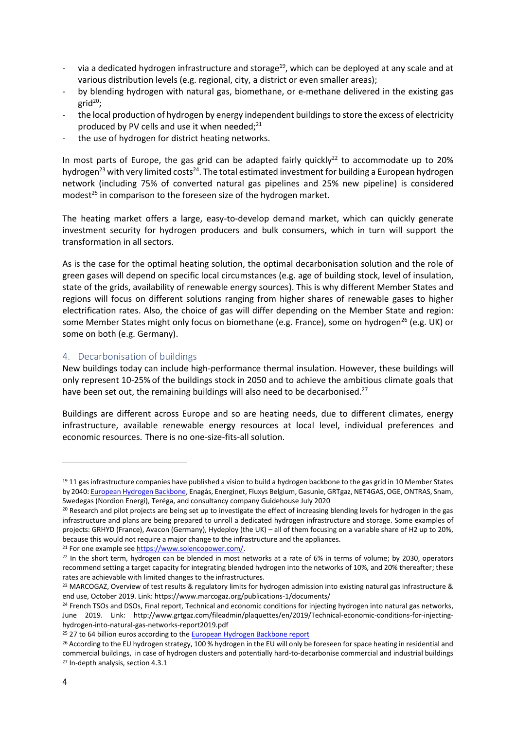- via a dedicated hydrogen infrastructure and storage<sup>19</sup>, which can be deployed at any scale and at various distribution levels (e.g. regional, city, a district or even smaller areas);
- by blending hydrogen with natural gas, biomethane, or e-methane delivered in the existing gas grid $^{20}$ ;
- the local production of hydrogen by energy independent buildings to store the excess of electricity produced by PV cells and use it when needed;<sup>21</sup>
- the use of hydrogen for district heating networks.

In most parts of Europe, the gas grid can be adapted fairly quickly<sup>22</sup> to accommodate up to 20% hydrogen<sup>23</sup> with very limited costs<sup>24</sup>. The total estimated investment for building a European hydrogen network (including 75% of converted natural gas pipelines and 25% new pipeline) is considered modest<sup>25</sup> in comparison to the foreseen size of the hydrogen market.

The heating market offers a large, easy-to-develop demand market, which can quickly generate investment security for hydrogen producers and bulk consumers, which in turn will support the transformation in all sectors.

As is the case for the optimal heating solution, the optimal decarbonisation solution and the role of green gases will depend on specific local circumstances (e.g. age of building stock, level of insulation, state of the grids, availability of renewable energy sources). This is why different Member States and regions will focus on different solutions ranging from higher shares of renewable gases to higher electrification rates. Also, the choice of gas will differ depending on the Member State and region: some Member States might only focus on biomethane (e.g. France), some on hydrogen<sup>26</sup> (e.g. UK) or some on both (e.g. Germany).

## 4. Decarbonisation of buildings

New buildings today can include high-performance thermal insulation. However, these buildings will only represent 10-25% of the buildings stock in 2050 and to achieve the ambitious climate goals that have been set out, the remaining buildings will also need to be decarbonised.<sup>27</sup>

Buildings are different across Europe and so are heating needs, due to different climates, energy infrastructure, available renewable energy resources at local level, individual preferences and economic resources. There is no one-size-fits-all solution.

 $19$  11 gas infrastructure companies have published a vision to build a hydrogen backbone to the gas grid in 10 Member States by 2040[: European Hydrogen Backbone,](https://gasforclimate2050.eu/sdm_downloads/european-hydrogen-backbone/) Enagás, Energinet, Fluxys Belgium, Gasunie, GRTgaz, NET4GAS, OGE, ONTRAS, Snam, Swedegas (Nordion Energi), Teréga, and consultancy company Guidehouse July 2020

<sup>&</sup>lt;sup>20</sup> Research and pilot projects are being set up to investigate the effect of increasing blending levels for hydrogen in the gas infrastructure and plans are being prepared to unroll a dedicated hydrogen infrastructure and storage. Some examples of projects: GRHYD (France), Avacon (Germany), Hydeploy (the UK) – all of them focusing on a variable share of H2 up to 20%, because this would not require a major change to the infrastructure and the appliances.

<sup>&</sup>lt;sup>21</sup> For one example see [https://www.solencopower.com/.](https://www.solencopower.com/)

<sup>&</sup>lt;sup>22</sup> In the short term, hydrogen can be blended in most networks at a rate of 6% in terms of volume; by 2030, operators recommend setting a target capacity for integrating blended hydrogen into the networks of 10%, and 20% thereafter; these rates are achievable with limited changes to the infrastructures.

<sup>&</sup>lt;sup>23</sup> MARCOGAZ, Overview of test results & regulatory limits for hydrogen admission into existing natural gas infrastructure & end use, October 2019. Link: https://www.marcogaz.org/publications-1/documents/

<sup>&</sup>lt;sup>24</sup> French TSOs and DSOs, Final report, Technical and economic conditions for injecting hydrogen into natural gas networks, June 2019. Link: http://www.grtgaz.com/fileadmin/plaquettes/en/2019/Technical-economic-conditions-for-injectinghydrogen-into-natural-gas-networks-report2019.pdf

<sup>&</sup>lt;sup>25</sup> 27 to 64 billion euros according to the **European Hydrogen Backbone report** 

<sup>&</sup>lt;sup>26</sup> According to the EU hydrogen strategy, 100 % hydrogen in the EU will only be foreseen for space heating in residential and commercial buildings, in case of hydrogen clusters and potentially hard-to-decarbonise commercial and industrial buildings <sup>27</sup> In-depth analysis, section 4.3.1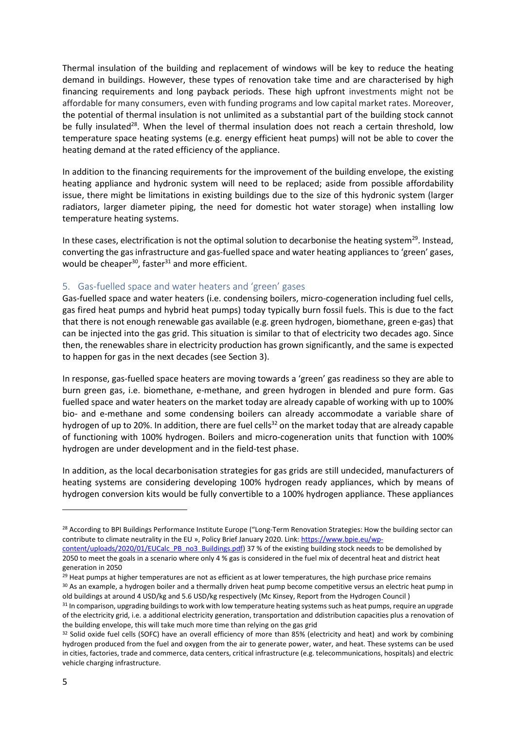Thermal insulation of the building and replacement of windows will be key to reduce the heating demand in buildings. However, these types of renovation take time and are characterised by high financing requirements and long payback periods. These high upfront investments might not be affordable for many consumers, even with funding programs and low capital market rates. Moreover, the potential of thermal insulation is not unlimited as a substantial part of the building stock cannot be fully insulated<sup>28</sup>. When the level of thermal insulation does not reach a certain threshold, low temperature space heating systems (e.g. energy efficient heat pumps) will not be able to cover the heating demand at the rated efficiency of the appliance.

In addition to the financing requirements for the improvement of the building envelope, the existing heating appliance and hydronic system will need to be replaced; aside from possible affordability issue, there might be limitations in existing buildings due to the size of this hydronic system (larger radiators, larger diameter piping, the need for domestic hot water storage) when installing low temperature heating systems.

In these cases, electrification is not the optimal solution to decarbonise the heating system<sup>29</sup>. Instead, converting the gas infrastructure and gas-fuelled space and water heating appliances to 'green' gases, would be cheaper<sup>30</sup>, faster<sup>31</sup> and more efficient.

#### 5. Gas-fuelled space and water heaters and 'green' gases

Gas-fuelled space and water heaters (i.e. condensing boilers, micro-cogeneration including fuel cells, gas fired heat pumps and hybrid heat pumps) today typically burn fossil fuels. This is due to the fact that there is not enough renewable gas available (e.g. green hydrogen, biomethane, green e-gas) that can be injected into the gas grid. This situation is similar to that of electricity two decades ago. Since then, the renewables share in electricity production has grown significantly, and the same is expected to happen for gas in the next decades (see Section 3).

In response, gas-fuelled space heaters are moving towards a 'green' gas readiness so they are able to burn green gas, i.e. biomethane, e-methane, and green hydrogen in blended and pure form. Gas fuelled space and water heaters on the market today are already capable of working with up to 100% bio- and e-methane and some condensing boilers can already accommodate a variable share of hydrogen of up to 20%. In addition, there are fuel cells $^{32}$  on the market today that are already capable of functioning with 100% hydrogen. Boilers and micro-cogeneration units that function with 100% hydrogen are under development and in the field-test phase.

In addition, as the local decarbonisation strategies for gas grids are still undecided, manufacturers of heating systems are considering developing 100% hydrogen ready appliances, which by means of hydrogen conversion kits would be fully convertible to a 100% hydrogen appliance. These appliances

<sup>&</sup>lt;sup>28</sup> According to BPI Buildings Performance Institute Europe ("Long-Term Renovation Strategies: How the building sector can contribute to climate neutrality in the EU », Policy Brief January 2020. Link[: https://www.bpie.eu/wp-](https://www.bpie.eu/wp-content/uploads/2020/01/EUCalc_PB_no3_Buildings.pdf)

[content/uploads/2020/01/EUCalc\\_PB\\_no3\\_Buildings.pdf\)](https://www.bpie.eu/wp-content/uploads/2020/01/EUCalc_PB_no3_Buildings.pdf) 37 % of the existing building stock needs to be demolished by 2050 to meet the goals in a scenario where only 4 % gas is considered in the fuel mix of decentral heat and district heat generation in 2050

<sup>&</sup>lt;sup>29</sup> Heat pumps at higher temperatures are not as efficient as at lower temperatures, the high purchase price remains <sup>30</sup> As an example, a hydrogen boiler and a thermally driven heat pump become competitive versus an electric heat pump in

old buildings at around 4 USD/kg and 5.6 USD/kg respectively (Mc Kinsey, Report from the Hydrogen Council )

 $31$  In comparison, upgrading buildings to work with low temperature heating systems such as heat pumps, require an upgrade of the electricity grid, i.e. a additional electricity generation, transportation and ddistribution capacities plus a renovation of the building envelope, this will take much more time than relying on the gas grid

<sup>32</sup> Solid oxide fuel cells (SOFC) have an overall efficiency of more than 85% (electricity and heat) and work by combining hydrogen produced from the fuel and oxygen from the air to generate power, water, and heat. These systems can be used in cities, factories, trade and commerce, data centers, critical infrastructure (e.g. telecommunications, hospitals) and electric vehicle charging infrastructure.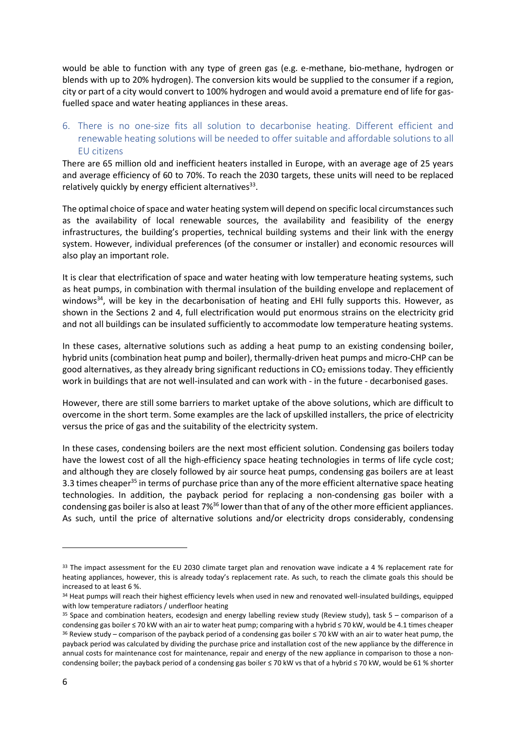would be able to function with any type of green gas (e.g. e-methane, bio-methane, hydrogen or blends with up to 20% hydrogen). The conversion kits would be supplied to the consumer if a region, city or part of a city would convert to 100% hydrogen and would avoid a premature end of life for gasfuelled space and water heating appliances in these areas.

# 6. There is no one-size fits all solution to decarbonise heating. Different efficient and renewable heating solutions will be needed to offer suitable and affordable solutions to all EU citizens

There are 65 million old and inefficient heaters installed in Europe, with an average age of 25 years and average efficiency of 60 to 70%. To reach the 2030 targets, these units will need to be replaced relatively quickly by energy efficient alternatives<sup>33</sup>.

The optimal choice of space and water heating system will depend on specific local circumstances such as the availability of local renewable sources, the availability and feasibility of the energy infrastructures, the building's properties, technical building systems and their link with the energy system. However, individual preferences (of the consumer or installer) and economic resources will also play an important role.

It is clear that electrification of space and water heating with low temperature heating systems, such as heat pumps, in combination with thermal insulation of the building envelope and replacement of windows<sup>34</sup>, will be key in the decarbonisation of heating and EHI fully supports this. However, as shown in the Sections 2 and 4, full electrification would put enormous strains on the electricity grid and not all buildings can be insulated sufficiently to accommodate low temperature heating systems.

In these cases, alternative solutions such as adding a heat pump to an existing condensing boiler, hybrid units (combination heat pump and boiler), thermally-driven heat pumps and micro-CHP can be good alternatives, as they already bring significant reductions in  $CO<sub>2</sub>$  emissions today. They efficiently work in buildings that are not well-insulated and can work with - in the future - decarbonised gases.

However, there are still some barriers to market uptake of the above solutions, which are difficult to overcome in the short term. Some examples are the lack of upskilled installers, the price of electricity versus the price of gas and the suitability of the electricity system.

In these cases, condensing boilers are the next most efficient solution. Condensing gas boilers today have the lowest cost of all the high-efficiency space heating technologies in terms of life cycle cost; and although they are closely followed by air source heat pumps, condensing gas boilers are at least 3.3 times cheaper<sup>35</sup> in terms of purchase price than any of the more efficient alternative space heating technologies. In addition, the payback period for replacing a non-condensing gas boiler with a condensing gas boiler is also at least 7%<sup>36</sup> lower than that of any of the other more efficient appliances. As such, until the price of alternative solutions and/or electricity drops considerably, condensing

<sup>&</sup>lt;sup>33</sup> The impact assessment for the EU 2030 climate target plan and renovation wave indicate a 4 % replacement rate for heating appliances, however, this is already today's replacement rate. As such, to reach the climate goals this should be increased to at least 6 %.

<sup>&</sup>lt;sup>34</sup> Heat pumps will reach their highest efficiency levels when used in new and renovated well-insulated buildings, equipped with low temperature radiators / underfloor heating

 $35$  Space and combination heaters, ecodesign and energy labelling review study (Review study), task  $5 -$  comparison of a condensing gas boiler ≤ 70 kW with an air to water heat pump; comparing with a hybrid ≤ 70 kW, would be 4.1 times cheaper <sup>36</sup> Review study – comparison of the payback period of a condensing gas boiler  $\leq$  70 kW with an air to water heat pump, the payback period was calculated by dividing the purchase price and installation cost of the new appliance by the difference in annual costs for maintenance cost for maintenance, repair and energy of the new appliance in comparison to those a noncondensing boiler; the payback period of a condensing gas boiler ≤ 70 kW vs that of a hybrid ≤ 70 kW, would be 61 % shorter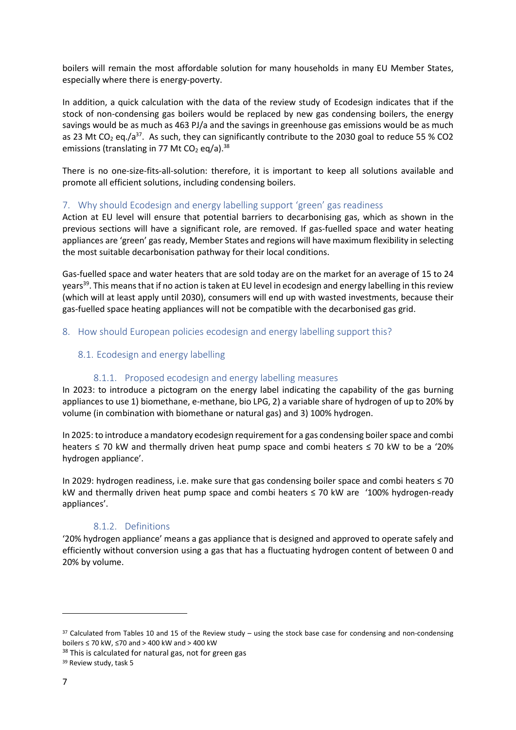boilers will remain the most affordable solution for many households in many EU Member States, especially where there is energy-poverty.

In addition, a quick calculation with the data of the review study of Ecodesign indicates that if the stock of non-condensing gas boilers would be replaced by new gas condensing boilers, the energy savings would be as much as 463 PJ/a and the savings in greenhouse gas emissions would be as much as 23 Mt CO<sub>2</sub> eq./a<sup>37</sup>. As such, they can significantly contribute to the 2030 goal to reduce 55 % CO2 emissions (translating in 77 Mt CO<sub>2</sub> eq/a).<sup>38</sup>

There is no one-size-fits-all-solution: therefore, it is important to keep all solutions available and promote all efficient solutions, including condensing boilers.

## 7. Why should Ecodesign and energy labelling support 'green' gas readiness

Action at EU level will ensure that potential barriers to decarbonising gas, which as shown in the previous sections will have a significant role, are removed. If gas-fuelled space and water heating appliances are 'green' gas ready, Member States and regions will have maximum flexibility in selecting the most suitable decarbonisation pathway for their local conditions.

Gas-fuelled space and water heaters that are sold today are on the market for an average of 15 to 24 years<sup>39</sup>. This means that if no action is taken at EU level in ecodesign and energy labelling in this review (which will at least apply until 2030), consumers will end up with wasted investments, because their gas-fuelled space heating appliances will not be compatible with the decarbonised gas grid.

## 8. How should European policies ecodesign and energy labelling support this?

## 8.1. Ecodesign and energy labelling

## 8.1.1. Proposed ecodesign and energy labelling measures

In 2023: to introduce a pictogram on the energy label indicating the capability of the gas burning appliances to use 1) biomethane, e-methane, bio LPG, 2) a variable share of hydrogen of up to 20% by volume (in combination with biomethane or natural gas) and 3) 100% hydrogen.

In 2025: to introduce a mandatory ecodesign requirement for a gas condensing boilerspace and combi heaters ≤ 70 kW and thermally driven heat pump space and combi heaters ≤ 70 kW to be a '20% hydrogen appliance'.

In 2029: hydrogen readiness, i.e. make sure that gas condensing boiler space and combi heaters ≤ 70 kW and thermally driven heat pump space and combi heaters ≤ 70 kW are '100% hydrogen-ready appliances'.

## 8.1.2. Definitions

'20% hydrogen appliance' means a gas appliance that is designed and approved to operate safely and efficiently without conversion using a gas that has a fluctuating hydrogen content of between 0 and 20% by volume.

 $37$  Calculated from Tables 10 and 15 of the Review study – using the stock base case for condensing and non-condensing boilers ≤ 70 kW, ≤70 and > 400 kW and > 400 kW

<sup>&</sup>lt;sup>38</sup> This is calculated for natural gas, not for green gas

<sup>&</sup>lt;sup>39</sup> Review study, task 5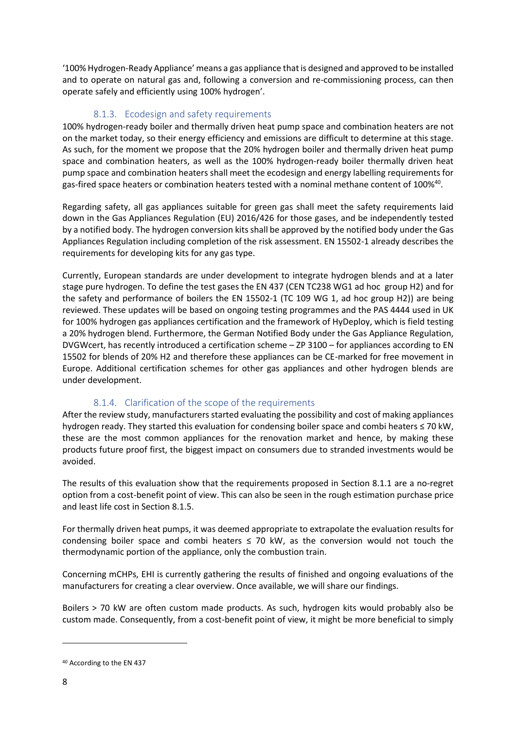'100% Hydrogen-Ready Appliance' means a gas appliance that is designed and approved to be installed and to operate on natural gas and, following a conversion and re-commissioning process, can then operate safely and efficiently using 100% hydrogen'.

# 8.1.3. Ecodesign and safety requirements

100% hydrogen-ready boiler and thermally driven heat pump space and combination heaters are not on the market today, so their energy efficiency and emissions are difficult to determine at this stage. As such, for the moment we propose that the 20% hydrogen boiler and thermally driven heat pump space and combination heaters, as well as the 100% hydrogen-ready boiler thermally driven heat pump space and combination heaters shall meet the ecodesign and energy labelling requirements for gas-fired space heaters or combination heaters tested with a nominal methane content of 100%<sup>40</sup>.

Regarding safety, all gas appliances suitable for green gas shall meet the safety requirements laid down in the Gas Appliances Regulation (EU) 2016/426 for those gases, and be independently tested by a notified body. The hydrogen conversion kits shall be approved by the notified body under the Gas Appliances Regulation including completion of the risk assessment. EN 15502-1 already describes the requirements for developing kits for any gas type.

Currently, European standards are under development to integrate hydrogen blends and at a later stage pure hydrogen. To define the test gases the EN 437 (CEN TC238 WG1 ad hoc group H2) and for the safety and performance of boilers the EN 15502-1 (TC 109 WG 1, ad hoc group H2)) are being reviewed. These updates will be based on ongoing testing programmes and the PAS 4444 used in UK for 100% hydrogen gas appliances certification and the framework of HyDeploy, which is field testing a 20% hydrogen blend. Furthermore, the German Notified Body under the Gas Appliance Regulation, DVGWcert, has recently introduced a certification scheme – ZP 3100 – for appliances according to EN 15502 for blends of 20% H2 and therefore these appliances can be CE-marked for free movement in Europe. Additional certification schemes for other gas appliances and other hydrogen blends are under development.

# 8.1.4. Clarification of the scope of the requirements

After the review study, manufacturers started evaluating the possibility and cost of making appliances hydrogen ready. They started this evaluation for condensing boiler space and combi heaters ≤ 70 kW, these are the most common appliances for the renovation market and hence, by making these products future proof first, the biggest impact on consumers due to stranded investments would be avoided.

The results of this evaluation show that the requirements proposed in Section 8.1.1 are a no-regret option from a cost-benefit point of view. This can also be seen in the rough estimation purchase price and least life cost in Section 8.1.5.

For thermally driven heat pumps, it was deemed appropriate to extrapolate the evaluation results for condensing boiler space and combi heaters  $\leq$  70 kW, as the conversion would not touch the thermodynamic portion of the appliance, only the combustion train.

Concerning mCHPs, EHI is currently gathering the results of finished and ongoing evaluations of the manufacturers for creating a clear overview. Once available, we will share our findings.

Boilers > 70 kW are often custom made products. As such, hydrogen kits would probably also be custom made. Consequently, from a cost-benefit point of view, it might be more beneficial to simply

<sup>40</sup> According to the EN 437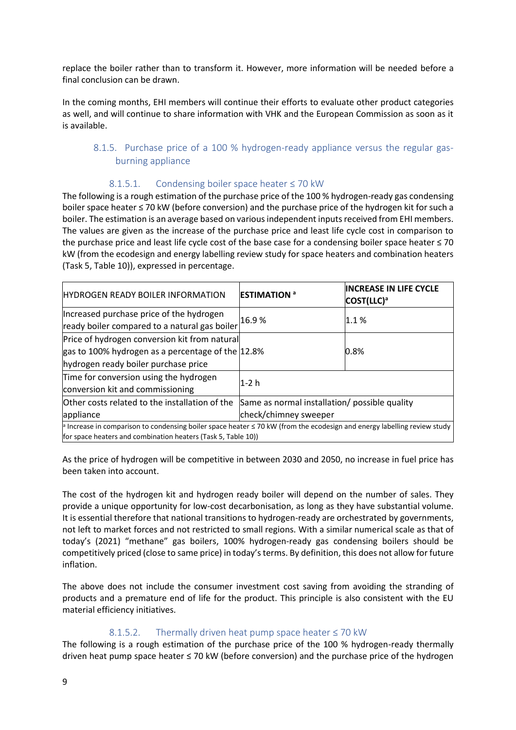replace the boiler rather than to transform it. However, more information will be needed before a final conclusion can be drawn.

In the coming months, EHI members will continue their efforts to evaluate other product categories as well, and will continue to share information with VHK and the European Commission as soon as it is available.

## 8.1.5. Purchase price of a 100 % hydrogen-ready appliance versus the regular gasburning appliance

#### 8.1.5.1. Condensing boiler space heater ≤ 70 kW

The following is a rough estimation of the purchase price of the 100 % hydrogen-ready gas condensing boiler space heater ≤ 70 kW (before conversion) and the purchase price of the hydrogen kit for such a boiler. The estimation is an average based on various independent inputs received from EHI members. The values are given as the increase of the purchase price and least life cycle cost in comparison to the purchase price and least life cycle cost of the base case for a condensing boiler space heater ≤ 70 kW (from the ecodesign and energy labelling review study for space heaters and combination heaters (Task 5, Table 10)), expressed in percentage.

| <b>HYDROGEN READY BOILER INFORMATION</b>                                                                                                                                                     | <b>ESTIMATION<sup>a</sup></b>                 | <b>INCREASE IN LIFE CYCLE</b><br>COST(LLC) <sup>a</sup> |  |
|----------------------------------------------------------------------------------------------------------------------------------------------------------------------------------------------|-----------------------------------------------|---------------------------------------------------------|--|
| Increased purchase price of the hydrogen<br>ready boiler compared to a natural gas boiler                                                                                                    | 16.9%                                         | 1.1%                                                    |  |
| Price of hydrogen conversion kit from natural<br>gas to 100% hydrogen as a percentage of the 12.8%<br>hydrogen ready boiler purchase price                                                   |                                               | 0.8%                                                    |  |
| Time for conversion using the hydrogen<br>conversion kit and commissioning                                                                                                                   | $1-2$ h                                       |                                                         |  |
| Other costs related to the installation of the                                                                                                                                               | Same as normal installation/ possible quality |                                                         |  |
| appliance                                                                                                                                                                                    | check/chimney sweeper                         |                                                         |  |
| Increase in comparison to condensing boiler space heater $\leq$ 70 kW (from the ecodesign and energy labelling review study<br>for space heaters and combination heaters (Task 5, Table 10)) |                                               |                                                         |  |

As the price of hydrogen will be competitive in between 2030 and 2050, no increase in fuel price has been taken into account.

The cost of the hydrogen kit and hydrogen ready boiler will depend on the number of sales. They provide a unique opportunity for low-cost decarbonisation, as long as they have substantial volume. It is essential therefore that national transitions to hydrogen-ready are orchestrated by governments, not left to market forces and not restricted to small regions. With a similar numerical scale as that of today's (2021) "methane" gas boilers, 100% hydrogen-ready gas condensing boilers should be competitively priced (close to same price) in today's terms. By definition, this does not allow for future inflation.

The above does not include the consumer investment cost saving from avoiding the stranding of products and a premature end of life for the product. This principle is also consistent with the EU material efficiency initiatives.

## 8.1.5.2. Thermally driven heat pump space heater  $\leq 70$  kW

The following is a rough estimation of the purchase price of the 100 % hydrogen-ready thermally driven heat pump space heater ≤ 70 kW (before conversion) and the purchase price of the hydrogen